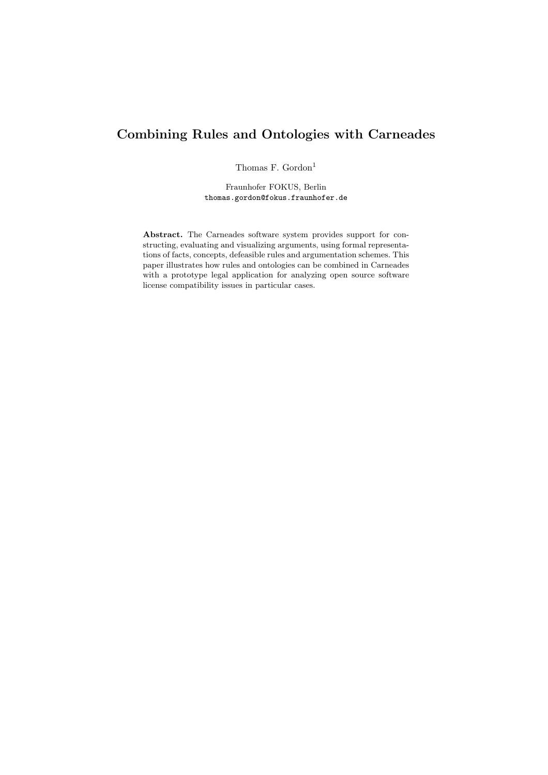# Combining Rules and Ontologies with Carneades

Thomas F. Gordon<sup>1</sup>

Fraunhofer FOKUS, Berlin thomas.gordon@fokus.fraunhofer.de

Abstract. The Carneades software system provides support for constructing, evaluating and visualizing arguments, using formal representations of facts, concepts, defeasible rules and argumentation schemes. This paper illustrates how rules and ontologies can be combined in Carneades with a prototype legal application for analyzing open source software license compatibility issues in particular cases.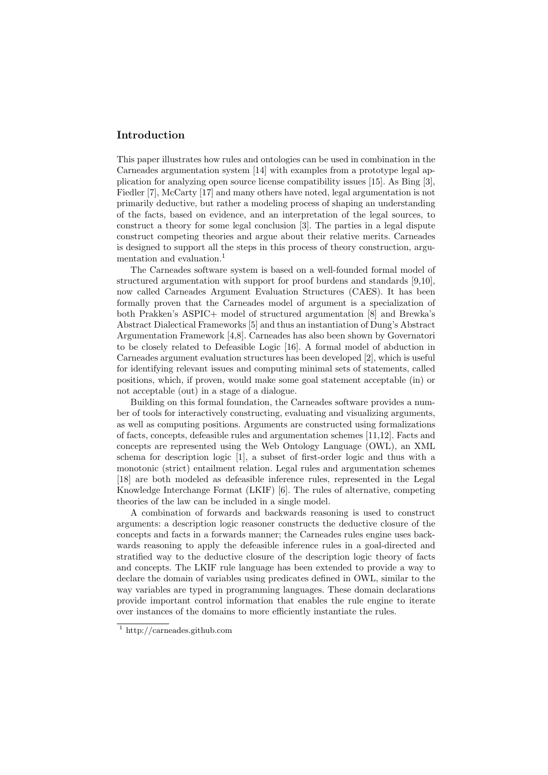# Introduction

This paper illustrates how rules and ontologies can be used in combination in the Carneades argumentation system [14] with examples from a prototype legal application for analyzing open source license compatibility issues [15]. As Bing [3], Fiedler [7], McCarty [17] and many others have noted, legal argumentation is not primarily deductive, but rather a modeling process of shaping an understanding of the facts, based on evidence, and an interpretation of the legal sources, to construct a theory for some legal conclusion [3]. The parties in a legal dispute construct competing theories and argue about their relative merits. Carneades is designed to support all the steps in this process of theory construction, argumentation and evaluation.<sup>1</sup>

The Carneades software system is based on a well-founded formal model of structured argumentation with support for proof burdens and standards [9,10], now called Carneades Argument Evaluation Structures (CAES). It has been formally proven that the Carneades model of argument is a specialization of both Prakken's ASPIC+ model of structured argumentation [8] and Brewka's Abstract Dialectical Frameworks [5] and thus an instantiation of Dung's Abstract Argumentation Framework [4,8]. Carneades has also been shown by Governatori to be closely related to Defeasible Logic [16]. A formal model of abduction in Carneades argument evaluation structures has been developed [2], which is useful for identifying relevant issues and computing minimal sets of statements, called positions, which, if proven, would make some goal statement acceptable (in) or not acceptable (out) in a stage of a dialogue.

Building on this formal foundation, the Carneades software provides a number of tools for interactively constructing, evaluating and visualizing arguments, as well as computing positions. Arguments are constructed using formalizations of facts, concepts, defeasible rules and argumentation schemes [11,12]. Facts and concepts are represented using the Web Ontology Language (OWL), an XML schema for description logic [1], a subset of first-order logic and thus with a monotonic (strict) entailment relation. Legal rules and argumentation schemes [18] are both modeled as defeasible inference rules, represented in the Legal Knowledge Interchange Format (LKIF) [6]. The rules of alternative, competing theories of the law can be included in a single model.

A combination of forwards and backwards reasoning is used to construct arguments: a description logic reasoner constructs the deductive closure of the concepts and facts in a forwards manner; the Carneades rules engine uses backwards reasoning to apply the defeasible inference rules in a goal-directed and stratified way to the deductive closure of the description logic theory of facts and concepts. The LKIF rule language has been extended to provide a way to declare the domain of variables using predicates defined in OWL, similar to the way variables are typed in programming languages. These domain declarations provide important control information that enables the rule engine to iterate over instances of the domains to more efficiently instantiate the rules.

<sup>1</sup> http://carneades.github.com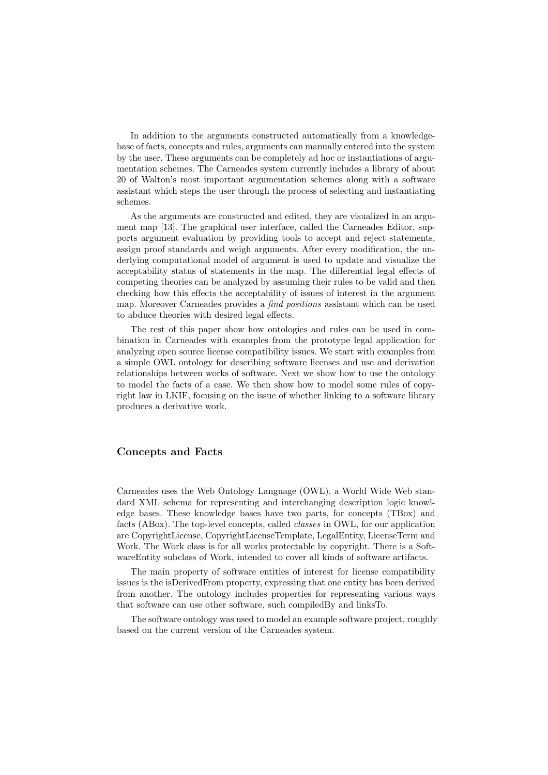In addition to the arguments constructed automatically from a knowledgebase of facts, concepts and rules, arguments can manually entered into the system by the user. These arguments can be completely ad hoc or instantiations of argumentation schemes. The Carneades system currently includes a library of about 20 of Walton's most important argumentation schemes along with a software assistant which steps the user through the process of selecting and instantiating schemes.

As the arguments are constructed and edited, they are visualized in an argument map [13]. The graphical user interface, called the Carneades Editor, supports argument evaluation by providing tools to accept and reject statements, assign proof standards and weigh arguments. After every modification, the underlying computational model of argument is used to update and visualize the acceptability status of statements in the map. The differential legal effects of competing theories can be analyzed by assuming their rules to be valid and then checking how this effects the acceptability of issues of interest in the argument map. Moreover Carneades provides a *find positions* assistant which can be used to abduce theories with desired legal effects.

The rest of this paper show how ontologies and rules can be used in combination in Carneades with examples from the prototype legal application for analyzing open source license compatibility issues. We start with examples from a simple OWL ontology for describing software licenses and use and derivation relationships between works of software. Next we show how to use the ontology to model the facts of a case. We then show how to model some rules of copyright law in LKIF, focusing on the issue of whether linking to a software library produces a derivative work.

## Concepts and Facts

Carneades uses the Web Ontology Language (OWL), a World Wide Web standard XML schema for representing and interchanging description logic knowledge bases. These knowledge bases have two parts, for concepts (TBox) and facts (ABox). The top-level concepts, called *classes* in OWL, for our application are CopyrightLicense, CopyrightLicenseTemplate, LegalEntity, LicenseTerm and Work. The Work class is for all works protectable by copyright. There is a SoftwareEntity subclass of Work, intended to cover all kinds of software artifacts.

The main property of software entities of interest for license compatibility issues is the isDerivedFrom property, expressing that one entity has been derived from another. The ontology includes properties for representing various ways that software can use other software, such compiledBy and linksTo.

The software ontology was used to model an example software project, roughly based on the current version of the Carneades system.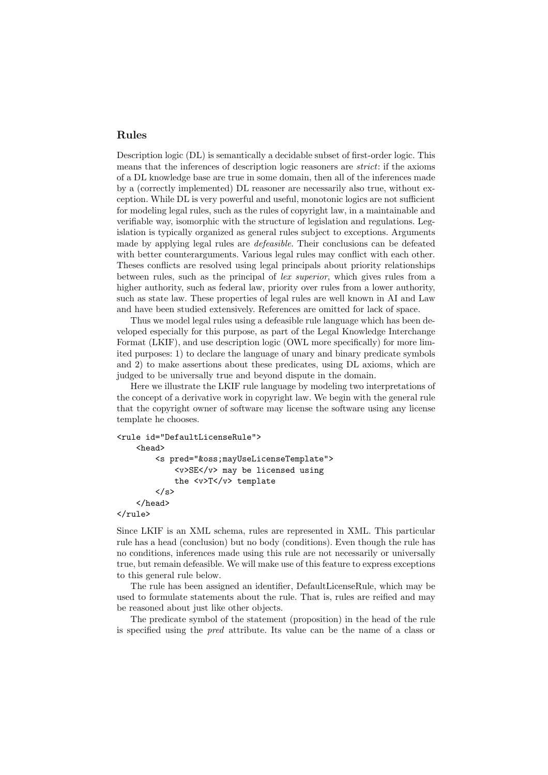# Rules

Description logic (DL) is semantically a decidable subset of first-order logic. This means that the inferences of description logic reasoners are *strict*: if the axioms of a DL knowledge base are true in some domain, then all of the inferences made by a (correctly implemented) DL reasoner are necessarily also true, without exception. While DL is very powerful and useful, monotonic logics are not sufficient for modeling legal rules, such as the rules of copyright law, in a maintainable and verifiable way, isomorphic with the structure of legislation and regulations. Legislation is typically organized as general rules subject to exceptions. Arguments made by applying legal rules are *defeasible*. Their conclusions can be defeated with better counterarguments. Various legal rules may conflict with each other. Theses conflicts are resolved using legal principals about priority relationships between rules, such as the principal of *lex superior*, which gives rules from a higher authority, such as federal law, priority over rules from a lower authority, such as state law. These properties of legal rules are well known in AI and Law and have been studied extensively. References are omitted for lack of space.

Thus we model legal rules using a defeasible rule language which has been developed especially for this purpose, as part of the Legal Knowledge Interchange Format (LKIF), and use description logic (OWL more specifically) for more limited purposes: 1) to declare the language of unary and binary predicate symbols and 2) to make assertions about these predicates, using DL axioms, which are judged to be universally true and beyond dispute in the domain.

Here we illustrate the LKIF rule language by modeling two interpretations of the concept of a derivative work in copyright law. We begin with the general rule that the copyright owner of software may license the software using any license template he chooses.

```
<rule id="DefaultLicenseRule">
     <head>
          <s pred="&oss;mayUseLicenseTemplate">
               <v>SE</v> may be licensed using
               the \langle v \rangle T \langle v \rangle template
          \langle/e>
     </head>
</rule>
```
Since LKIF is an XML schema, rules are represented in XML. This particular rule has a head (conclusion) but no body (conditions). Even though the rule has no conditions, inferences made using this rule are not necessarily or universally true, but remain defeasible. We will make use of this feature to express exceptions to this general rule below.

The rule has been assigned an identifier, DefaultLicenseRule, which may be used to formulate statements about the rule. That is, rules are reified and may be reasoned about just like other objects.

The predicate symbol of the statement (proposition) in the head of the rule is specified using the *pred* attribute. Its value can be the name of a class or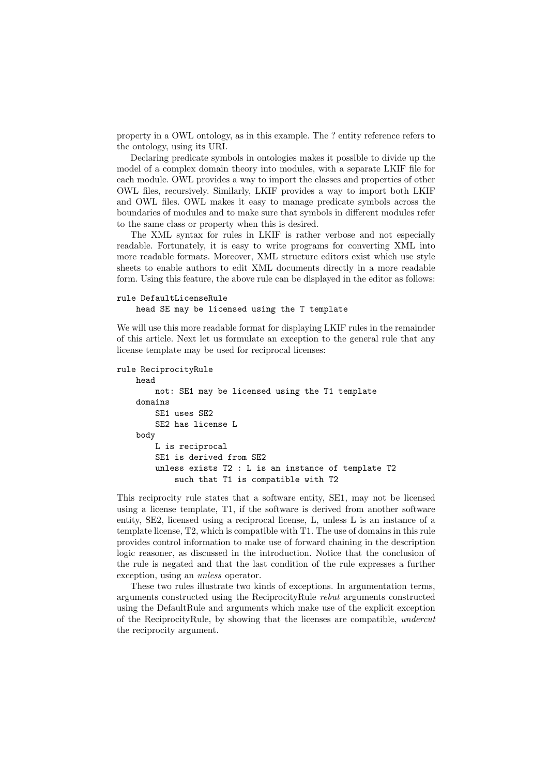property in a OWL ontology, as in this example. The ? entity reference refers to the ontology, using its URI.

Declaring predicate symbols in ontologies makes it possible to divide up the model of a complex domain theory into modules, with a separate LKIF file for each module. OWL provides a way to import the classes and properties of other OWL files, recursively. Similarly, LKIF provides a way to import both LKIF and OWL files. OWL makes it easy to manage predicate symbols across the boundaries of modules and to make sure that symbols in different modules refer to the same class or property when this is desired.

The XML syntax for rules in LKIF is rather verbose and not especially readable. Fortunately, it is easy to write programs for converting XML into more readable formats. Moreover, XML structure editors exist which use style sheets to enable authors to edit XML documents directly in a more readable form. Using this feature, the above rule can be displayed in the editor as follows:

#### rule DefaultLicenseRule head SE may be licensed using the T template

We will use this more readable format for displaying LKIF rules in the remainder of this article. Next let us formulate an exception to the general rule that any license template may be used for reciprocal licenses:

```
rule ReciprocityRule
   head
       not: SE1 may be licensed using the T1 template
   domains
        SE1 uses SE2
        SE2 has license L
   body
       L is reciprocal
        SE1 is derived from SE2
        unless exists T2 : L is an instance of template T2
            such that T1 is compatible with T2
```
This reciprocity rule states that a software entity, SE1, may not be licensed using a license template, T1, if the software is derived from another software entity, SE2, licensed using a reciprocal license, L, unless L is an instance of a template license, T2, which is compatible with T1. The use of domains in this rule provides control information to make use of forward chaining in the description logic reasoner, as discussed in the introduction. Notice that the conclusion of the rule is negated and that the last condition of the rule expresses a further exception, using an *unless* operator.

These two rules illustrate two kinds of exceptions. In argumentation terms, arguments constructed using the ReciprocityRule *rebut* arguments constructed using the DefaultRule and arguments which make use of the explicit exception of the ReciprocityRule, by showing that the licenses are compatible, *undercut* the reciprocity argument.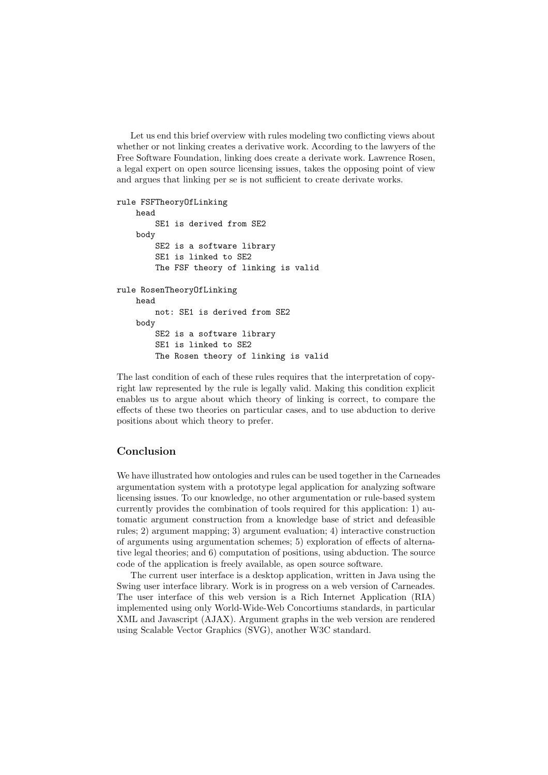Let us end this brief overview with rules modeling two conflicting views about whether or not linking creates a derivative work. According to the lawyers of the Free Software Foundation, linking does create a derivate work. Lawrence Rosen, a legal expert on open source licensing issues, takes the opposing point of view and argues that linking per se is not sufficient to create derivate works.

```
rule FSFTheoryOfLinking
    head
        SE1 is derived from SE2
    body
        SE2 is a software library
        SE1 is linked to SE2
        The FSF theory of linking is valid
rule RosenTheoryOfLinking
    head
        not: SE1 is derived from SE2
    body
        SE2 is a software library
        SE1 is linked to SE2
        The Rosen theory of linking is valid
```
The last condition of each of these rules requires that the interpretation of copyright law represented by the rule is legally valid. Making this condition explicit enables us to argue about which theory of linking is correct, to compare the effects of these two theories on particular cases, and to use abduction to derive positions about which theory to prefer.

## Conclusion

We have illustrated how ontologies and rules can be used together in the Carneades argumentation system with a prototype legal application for analyzing software licensing issues. To our knowledge, no other argumentation or rule-based system currently provides the combination of tools required for this application: 1) automatic argument construction from a knowledge base of strict and defeasible rules; 2) argument mapping; 3) argument evaluation; 4) interactive construction of arguments using argumentation schemes;  $5$ ) exploration of effects of alternative legal theories; and 6) computation of positions, using abduction. The source code of the application is freely available, as open source software.

The current user interface is a desktop application, written in Java using the Swing user interface library. Work is in progress on a web version of Carneades. The user interface of this web version is a Rich Internet Application (RIA) implemented using only World-Wide-Web Concortiums standards, in particular XML and Javascript (AJAX). Argument graphs in the web version are rendered using Scalable Vector Graphics (SVG), another W3C standard.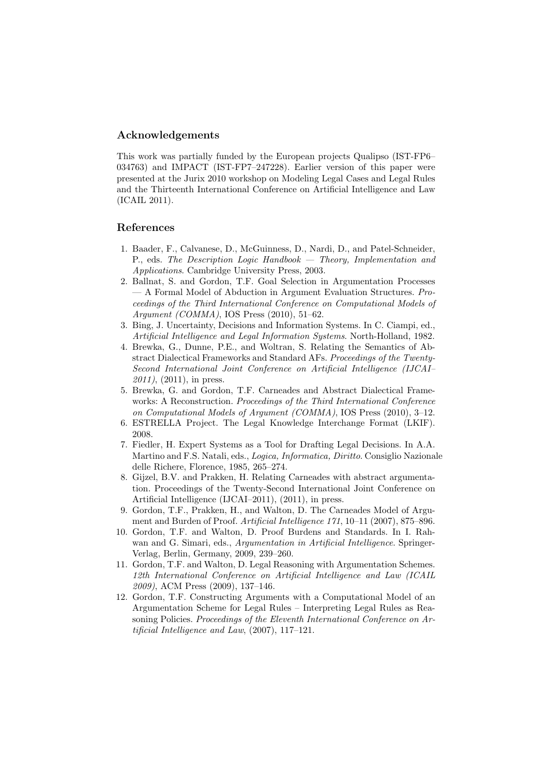# Acknowledgements

This work was partially funded by the European projects Qualipso (IST-FP6– 034763) and IMPACT (IST-FP7–247228). Earlier version of this paper were presented at the Jurix 2010 workshop on Modeling Legal Cases and Legal Rules and the Thirteenth International Conference on Artificial Intelligence and Law (ICAIL 2011).

## References

- 1. Baader, F., Calvanese, D., McGuinness, D., Nardi, D., and Patel-Schneider, P., eds. *The Description Logic Handbook — Theory, Implementation and Applications*. Cambridge University Press, 2003.
- 2. Ballnat, S. and Gordon, T.F. Goal Selection in Argumentation Processes — A Formal Model of Abduction in Argument Evaluation Structures. *Proceedings of the Third International Conference on Computational Models of Argument (COMMA)*, IOS Press (2010), 51–62.
- 3. Bing, J. Uncertainty, Decisions and Information Systems. In C. Ciampi, ed., *Artificial Intelligence and Legal Information Systems*. North-Holland, 1982.
- 4. Brewka, G., Dunne, P.E., and Woltran, S. Relating the Semantics of Abstract Dialectical Frameworks and Standard AFs. *Proceedings of the Twenty-Second International Joint Conference on Artificial Intelligence (IJCAI– 2011)*, (2011), in press.
- 5. Brewka, G. and Gordon, T.F. Carneades and Abstract Dialectical Frameworks: A Reconstruction. *Proceedings of the Third International Conference on Computational Models of Argument (COMMA)*, IOS Press (2010), 3–12.
- 6. ESTRELLA Project. The Legal Knowledge Interchange Format (LKIF). 2008.
- 7. Fiedler, H. Expert Systems as a Tool for Drafting Legal Decisions. In A.A. Martino and F.S. Natali, eds., *Logica, Informatica, Diritto*. Consiglio Nazionale delle Richere, Florence, 1985, 265–274.
- 8. Gijzel, B.V. and Prakken, H. Relating Carneades with abstract argumentation. Proceedings of the Twenty-Second International Joint Conference on Artificial Intelligence (IJCAI–2011), (2011), in press.
- 9. Gordon, T.F., Prakken, H., and Walton, D. The Carneades Model of Argument and Burden of Proof. *Artificial Intelligence 171*, 10–11 (2007), 875–896.
- 10. Gordon, T.F. and Walton, D. Proof Burdens and Standards. In I. Rahwan and G. Simari, eds., *Argumentation in Artificial Intelligence*. Springer-Verlag, Berlin, Germany, 2009, 239–260.
- 11. Gordon, T.F. and Walton, D. Legal Reasoning with Argumentation Schemes. *12th International Conference on Artificial Intelligence and Law (ICAIL 2009)*, ACM Press (2009), 137–146.
- 12. Gordon, T.F. Constructing Arguments with a Computational Model of an Argumentation Scheme for Legal Rules – Interpreting Legal Rules as Reasoning Policies. *Proceedings of the Eleventh International Conference on Artificial Intelligence and Law*, (2007), 117–121.